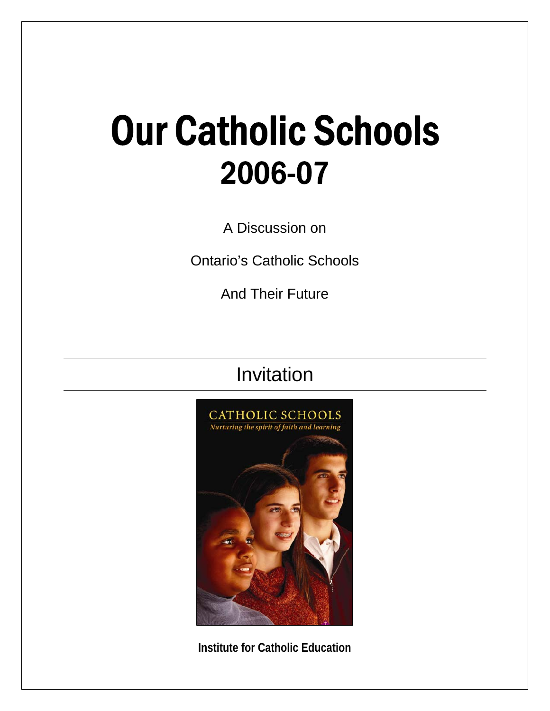## Our Catholic Schools 2006-07

A Discussion on

Ontario's Catholic Schools

And Their Future

Invitation



**Institute for Catholic Education**